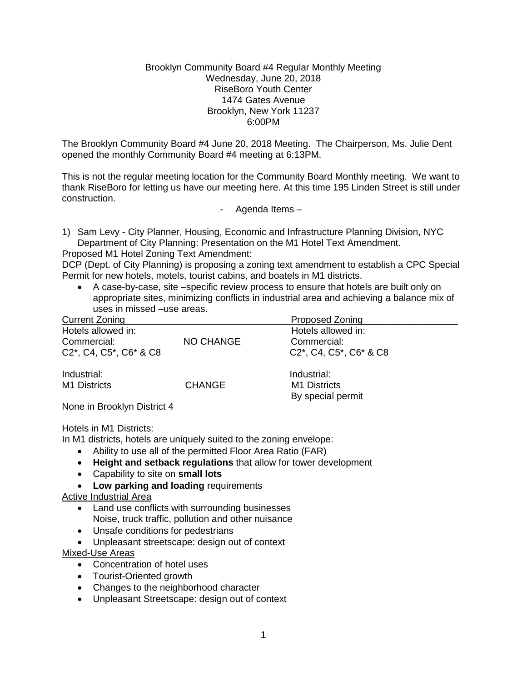#### Brooklyn Community Board #4 Regular Monthly Meeting Wednesday, June 20, 2018 RiseBoro Youth Center 1474 Gates Avenue Brooklyn, New York 11237 6:00PM

The Brooklyn Community Board #4 June 20, 2018 Meeting. The Chairperson, Ms. Julie Dent opened the monthly Community Board #4 meeting at 6:13PM.

This is not the regular meeting location for the Community Board Monthly meeting. We want to thank RiseBoro for letting us have our meeting here. At this time 195 Linden Street is still under construction.

- Agenda Items –

1) Sam Levy - City Planner, Housing, Economic and Infrastructure Planning Division, NYC Department of City Planning: Presentation on the M1 Hotel Text Amendment.

Proposed M1 Hotel Zoning Text Amendment:

DCP (Dept. of City Planning) is proposing a zoning text amendment to establish a CPC Special Permit for new hotels, motels, tourist cabins, and boatels in M1 districts.

 A case-by-case, site –specific review process to ensure that hotels are built only on appropriate sites, minimizing conflicts in industrial area and achieving a balance mix of uses in missed –use areas.

| Current Zoning         |                  | <b>Proposed Zoning</b>                                                                                                    |  |
|------------------------|------------------|---------------------------------------------------------------------------------------------------------------------------|--|
| Hotels allowed in:     |                  | Hotels allowed in:                                                                                                        |  |
| Commercial:            | <b>NO CHANGE</b> | Commercial:                                                                                                               |  |
| C2*, C4, C5*, C6* & C8 |                  | C <sub>2</sub> <sup>*</sup> , C <sub>4</sub> , C <sub>5</sub> <sup>*</sup> , C <sub>6</sub> <sup>*</sup> & C <sub>8</sub> |  |
| Industrial:            |                  | Industrial:                                                                                                               |  |
| M1 Districts           | <b>CHANGE</b>    | M1 Districts                                                                                                              |  |
|                        |                  | By special permit                                                                                                         |  |
| .                      |                  |                                                                                                                           |  |

None in Brooklyn District 4

Hotels in M1 Districts:

In M1 districts, hotels are uniquely suited to the zoning envelope:

- Ability to use all of the permitted Floor Area Ratio (FAR)
- **Height and setback regulations** that allow for tower development
- Capability to site on **small lots**
- **Low parking and loading** requirements

### Active Industrial Area

- Land use conflicts with surrounding businesses Noise, truck traffic, pollution and other nuisance
- Unsafe conditions for pedestrians
- Unpleasant streetscape: design out of context

Mixed-Use Areas

- Concentration of hotel uses
- Tourist-Oriented growth
- Changes to the neighborhood character
- Unpleasant Streetscape: design out of context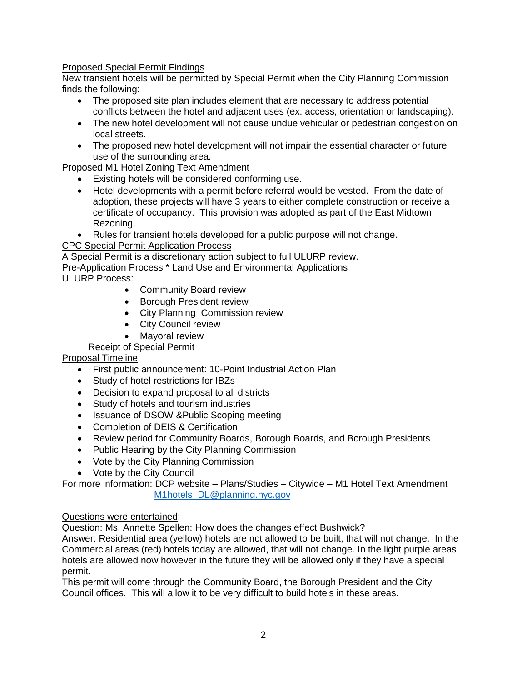# Proposed Special Permit Findings

New transient hotels will be permitted by Special Permit when the City Planning Commission finds the following:

- The proposed site plan includes element that are necessary to address potential conflicts between the hotel and adjacent uses (ex: access, orientation or landscaping).
- The new hotel development will not cause undue vehicular or pedestrian congestion on local streets.
- The proposed new hotel development will not impair the essential character or future use of the surrounding area.

Proposed M1 Hotel Zoning Text Amendment

- Existing hotels will be considered conforming use.
- Hotel developments with a permit before referral would be vested. From the date of adoption, these projects will have 3 years to either complete construction or receive a certificate of occupancy. This provision was adopted as part of the East Midtown Rezoning.
- Rules for transient hotels developed for a public purpose will not change.

CPC Special Permit Application Process

A Special Permit is a discretionary action subject to full ULURP review.

Pre-Application Process<sup>\*</sup> Land Use and Environmental Applications

### ULURP Process:

- Community Board review
- **•** Borough President review
- City Planning Commission review
- City Council review
- Mayoral review

Receipt of Special Permit

### Proposal Timeline

- First public announcement: 10-Point Industrial Action Plan
- Study of hotel restrictions for IBZs
- Decision to expand proposal to all districts
- Study of hotels and tourism industries
- Issuance of DSOW &Public Scoping meeting
- Completion of DEIS & Certification
- Review period for Community Boards, Borough Boards, and Borough Presidents
- Public Hearing by the City Planning Commission
- Vote by the City Planning Commission
- Vote by the City Council

For more information: DCP website – Plans/Studies – Citywide – M1 Hotel Text Amendment [M1hotels\\_DL@planning.nyc.gov](mailto:M1hotels_DL@planning.nyc.gov)

### Questions were entertained:

Question: Ms. Annette Spellen: How does the changes effect Bushwick?

Answer: Residential area (yellow) hotels are not allowed to be built, that will not change. In the Commercial areas (red) hotels today are allowed, that will not change. In the light purple areas hotels are allowed now however in the future they will be allowed only if they have a special permit.

This permit will come through the Community Board, the Borough President and the City Council offices. This will allow it to be very difficult to build hotels in these areas.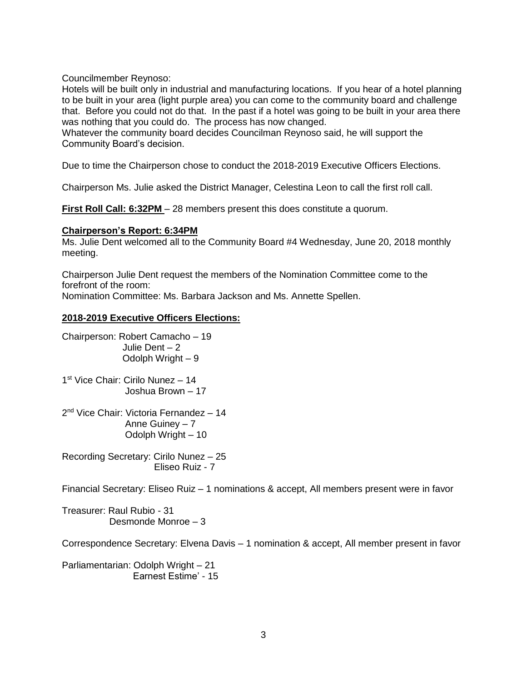Councilmember Reynoso:

Hotels will be built only in industrial and manufacturing locations. If you hear of a hotel planning to be built in your area (light purple area) you can come to the community board and challenge that. Before you could not do that. In the past if a hotel was going to be built in your area there was nothing that you could do. The process has now changed.

Whatever the community board decides Councilman Reynoso said, he will support the Community Board's decision.

Due to time the Chairperson chose to conduct the 2018-2019 Executive Officers Elections.

Chairperson Ms. Julie asked the District Manager, Celestina Leon to call the first roll call.

**First Roll Call: 6:32PM** – 28 members present this does constitute a quorum.

#### **Chairperson's Report: 6:34PM**

Ms. Julie Dent welcomed all to the Community Board #4 Wednesday, June 20, 2018 monthly meeting.

Chairperson Julie Dent request the members of the Nomination Committee come to the forefront of the room: Nomination Committee: Ms. Barbara Jackson and Ms. Annette Spellen.

#### **2018-2019 Executive Officers Elections:**

Chairperson: Robert Camacho – 19 Julie Dent – 2 Odolph Wright – 9

1 st Vice Chair: Cirilo Nunez – 14 Joshua Brown – 17

2<sup>nd</sup> Vice Chair: Victoria Fernandez - 14 Anne Guiney – 7 Odolph Wright – 10

Recording Secretary: Cirilo Nunez – 25 Eliseo Ruiz - 7

Financial Secretary: Eliseo Ruiz – 1 nominations & accept, All members present were in favor

Treasurer: Raul Rubio - 31 Desmonde Monroe – 3

Correspondence Secretary: Elvena Davis – 1 nomination & accept, All member present in favor

Parliamentarian: Odolph Wright – 21 Earnest Estime' - 15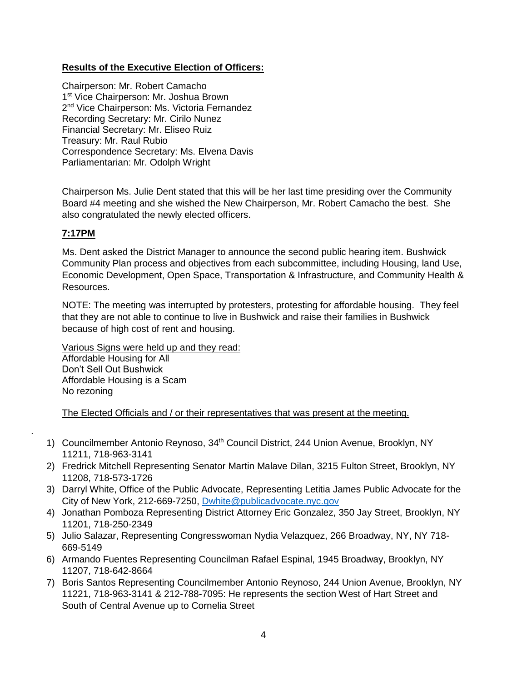# **Results of the Executive Election of Officers:**

Chairperson: Mr. Robert Camacho 1<sup>st</sup> Vice Chairperson: Mr. Joshua Brown 2<sup>nd</sup> Vice Chairperson: Ms. Victoria Fernandez Recording Secretary: Mr. Cirilo Nunez Financial Secretary: Mr. Eliseo Ruiz Treasury: Mr. Raul Rubio Correspondence Secretary: Ms. Elvena Davis Parliamentarian: Mr. Odolph Wright

Chairperson Ms. Julie Dent stated that this will be her last time presiding over the Community Board #4 meeting and she wished the New Chairperson, Mr. Robert Camacho the best. She also congratulated the newly elected officers.

# **7:17PM**

.

Ms. Dent asked the District Manager to announce the second public hearing item. Bushwick Community Plan process and objectives from each subcommittee, including Housing, land Use, Economic Development, Open Space, Transportation & Infrastructure, and Community Health & Resources.

NOTE: The meeting was interrupted by protesters, protesting for affordable housing. They feel that they are not able to continue to live in Bushwick and raise their families in Bushwick because of high cost of rent and housing.

Various Signs were held up and they read: Affordable Housing for All Don't Sell Out Bushwick Affordable Housing is a Scam No rezoning

The Elected Officials and / or their representatives that was present at the meeting.

- 1) Councilmember Antonio Reynoso, 34<sup>th</sup> Council District, 244 Union Avenue, Brooklyn, NY 11211, 718-963-3141
- 2) Fredrick Mitchell Representing Senator Martin Malave Dilan, 3215 Fulton Street, Brooklyn, NY 11208, 718-573-1726
- 3) Darryl White, Office of the Public Advocate, Representing Letitia James Public Advocate for the City of New York, 212-669-7250, [Dwhite@publicadvocate.nyc.gov](mailto:Dwhite@publicadvocate.nyc.gov)
- 4) Jonathan Pomboza Representing District Attorney Eric Gonzalez, 350 Jay Street, Brooklyn, NY 11201, 718-250-2349
- 5) Julio Salazar, Representing Congresswoman Nydia Velazquez, 266 Broadway, NY, NY 718- 669-5149
- 6) Armando Fuentes Representing Councilman Rafael Espinal, 1945 Broadway, Brooklyn, NY 11207, 718-642-8664
- 7) Boris Santos Representing Councilmember Antonio Reynoso, 244 Union Avenue, Brooklyn, NY 11221, 718-963-3141 & 212-788-7095: He represents the section West of Hart Street and South of Central Avenue up to Cornelia Street